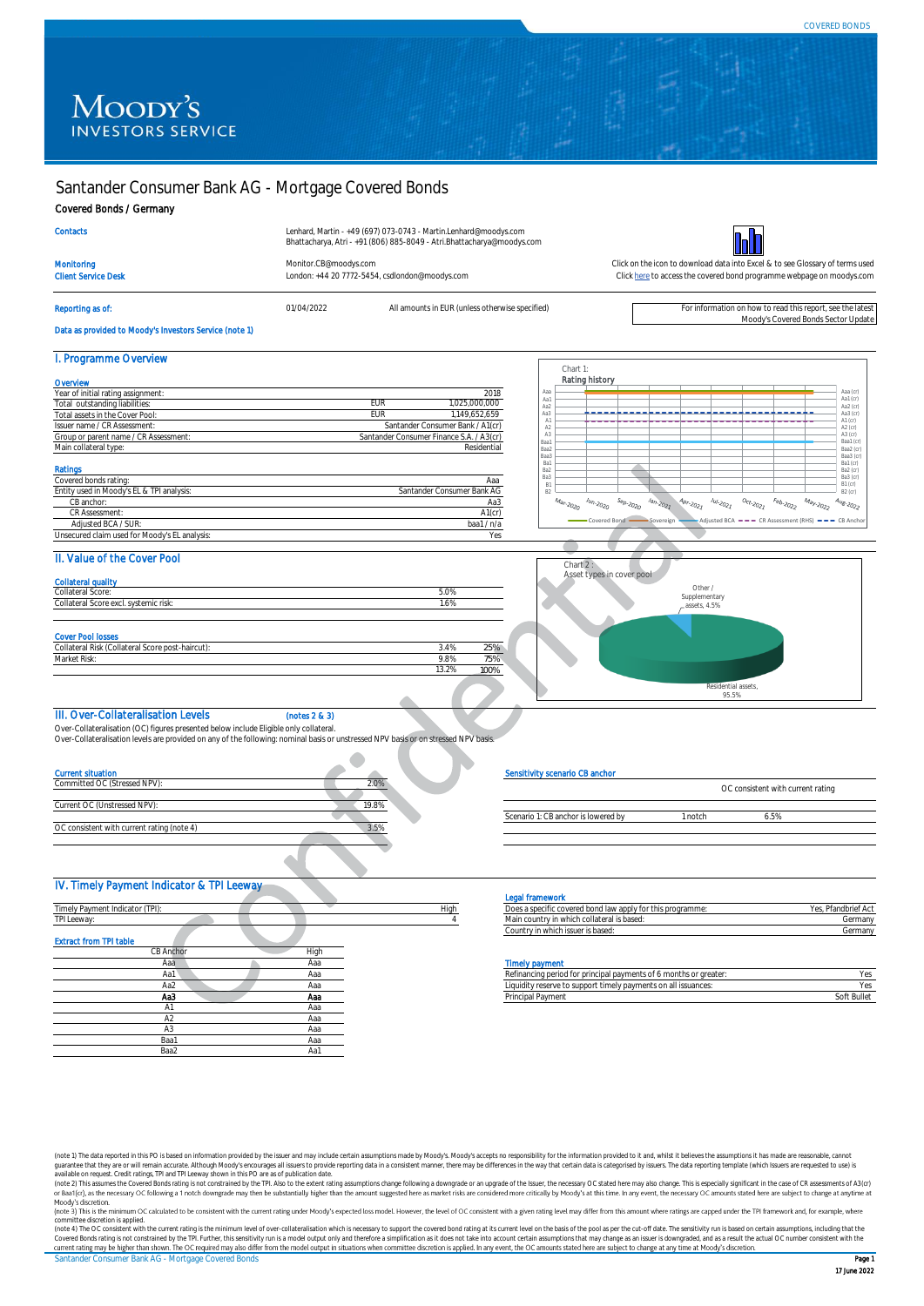# Moody's **INVESTORS SERVICE**

# Santander Consumer Bank AG - Mortgage Covered Bonds

#### Covered Bonds / Germany

# **Contacts**

Lenhard, Martin - +49 (697) 073-0743 - Martin.Lenhard@moodys.com Bhattacharya, Atri - +91 (806) 885-8049 - Atri.Bhattacharya@moodys.com



Monitoring [Monitor.CB@moodys.com](mailto:Monitor.CB@moodys.com) Monitor.CB@moodys.com Click on the icon to download data into Excel & to see Glossary of terms used<br>Click here to access the covered bond programme webpage on moodys.com Click here to acces London: +44 20 7772-5454, csdlondon@moodys.com

[Click here](https://www.moodys.com/credit-ratings/Santander-Consumer-Bank-AG--Mortgage-Covered-Bonds-credit-rating-730620131) to access the covered bond programme webpage on moodys.com

### Reporting as of: entity of the states of the controller of the Moody's Covered Bonds Sector Update of the Moody's Covered Bonds Sector Update<br>Moody's Covered Bonds Sector Update (Moody's Covered Bonds Sector Update Data as provided to Moody's Investors Service (note 1)

| I. Programme Overview                     |            |                                          |
|-------------------------------------------|------------|------------------------------------------|
| Overvlew                                  |            |                                          |
| Year of initial rating assignment:        |            | 2018                                     |
| Total outstanding liabilities:            | <b>FUR</b> | 1.025.000.000                            |
| Total assets in the Cover Pool:           | <b>FUR</b> | 1.149.652.659                            |
| Issuer name / CR Assessment:              |            | Santander Consumer Bank / A1(cr)         |
| Group or parent name / CR Assessment:     |            | Santander Consumer Finance S.A. / A3(cr) |
| Main collateral type:                     |            | Residential                              |
| Ratings                                   |            |                                          |
| Covered bonds rating:                     |            | Ааа                                      |
| Entity used in Moody's EL & TPI analysis: |            | Santander Consumer Bank AG               |



#### II. Value of the Cover Pool

 CB anchor: CR Assessment:

Extract from TPI table

| Collateral Score:                                                                            | 5.0% |     |
|----------------------------------------------------------------------------------------------|------|-----|
| Collateral Score excl. systemic risk:                                                        | 1.6% |     |
|                                                                                              |      |     |
|                                                                                              |      |     |
|                                                                                              |      |     |
|                                                                                              | 3.4% | 25% |
| <b>Cover Pool losses</b><br>Collateral Risk (Collateral Score post-haircut):<br>Market Risk: | 9.8% | 75% |

 Adjusted BCA / SUR: baa1 / n/a Unsecured claim used for Moody's EL analysis: Yes



#### III. Over-Collateralisation Levels (notes 2 & 3)

Over-Collateralisation (OC) figures presented below include Eligible only collateral.

Over-Collateralisation levels are provided on any of the following: nominal basis or unstressed NPV basis or on stressed NPV basis.

×

| <b>Current situation</b>                   |       |      | Sensitivity scenario CB anchor                             |                                   |
|--------------------------------------------|-------|------|------------------------------------------------------------|-----------------------------------|
| Committed OC (Stressed NPV):               | 2.0%  |      |                                                            | OC consistent with current rating |
| Current OC (Unstressed NPV):               | 19.8% |      |                                                            |                                   |
|                                            |       |      | Scenario 1: CB anchor is lowered by                        | 6.5%<br>1 notch                   |
| OC consistent with current rating (note 4) | 3.5%  |      |                                                            |                                   |
|                                            |       |      |                                                            |                                   |
|                                            |       |      |                                                            |                                   |
| IV. Timely Payment Indicator & TPI Leeway  |       |      |                                                            |                                   |
|                                            |       |      | <b>Legal framework</b>                                     |                                   |
| Timely Payment Indicator (TPI):            |       | High | Does a specific covered bond law apply for this programme: | Yes, Pfandbrief Ac                |
| TPI Leeway:                                |       |      | Main country in which collateral is based:                 | Germany                           |
|                                            |       |      | Country in which issuer is based:                          | Germany                           |

**CB Anchor** High

A1 Aaa A2 Aaa A3 Aaa Baa1 Aaa Baa2 Aa1

#### Sensitivity scenario CB anchor

|                                     |       | OC consistent with current rating |  |
|-------------------------------------|-------|-----------------------------------|--|
|                                     |       |                                   |  |
| Scenario 1: CB anchor is lowered by | notch | 55%                               |  |
|                                     |       |                                   |  |

#### Legal framework

Aa3 A1(cr)

| Does a specific covered bond law apply for this programme: | Yes. Pfandbrief Act |
|------------------------------------------------------------|---------------------|
| Main country in which collateral is based:                 | Germany             |
| Country in which issuer is based:                          | Germany             |
|                                                            |                     |

#### Aaa Aaa Timely payment

| Aa1 | <b>Hdc</b> | payments of<br>i 6 months or greater<br>≺ei<br><b><i>FOR DEIDO</i></b><br>urca tor                           | ' OS<br>∼ |
|-----|------------|--------------------------------------------------------------------------------------------------------------|-----------|
| Aa2 | <b>Hdu</b> | suppor.<br>"Iv paymer.<br>issuances:<br>thete on all to<br>timel'<br>Liguidity<br>nts on all<br>eserve.<br>. | 'a<br>. . |
| АаЗ | Aas        | nei.<br>Paymer<br>'rıncıpal                                                                                  | * Bullet  |
|     |            |                                                                                                              |           |

(note 1) The data reported in this PO is based on information provided by the issuer and may include certain assumptions made by Moody's Moody's accepts no responsibility for the information provided to it and, whilst it b guarantee that they are or will remain accurate. Although Moody's encourages all issuers to provide reporting data in a consistent manner, there may be differences in the way that certain data is categorised by issuers. Th

Moody's discretion.<br>(note 3) This is the minimum OC calculated to be consistent with the current rating under Moody's expected loss model. However, the level of OC consistent with a given rating level may differ from this

Santander Consumer Bank AG - Mortgage Covered Bonds **Page 1 American Consumer Bank Age 1 American Page 1** committee discretion is applied.<br>(note 4) The OC consistent with the current rating is the minimum level of over-collateralisation which is necessary to support the covered bond rating at its current level on the basis of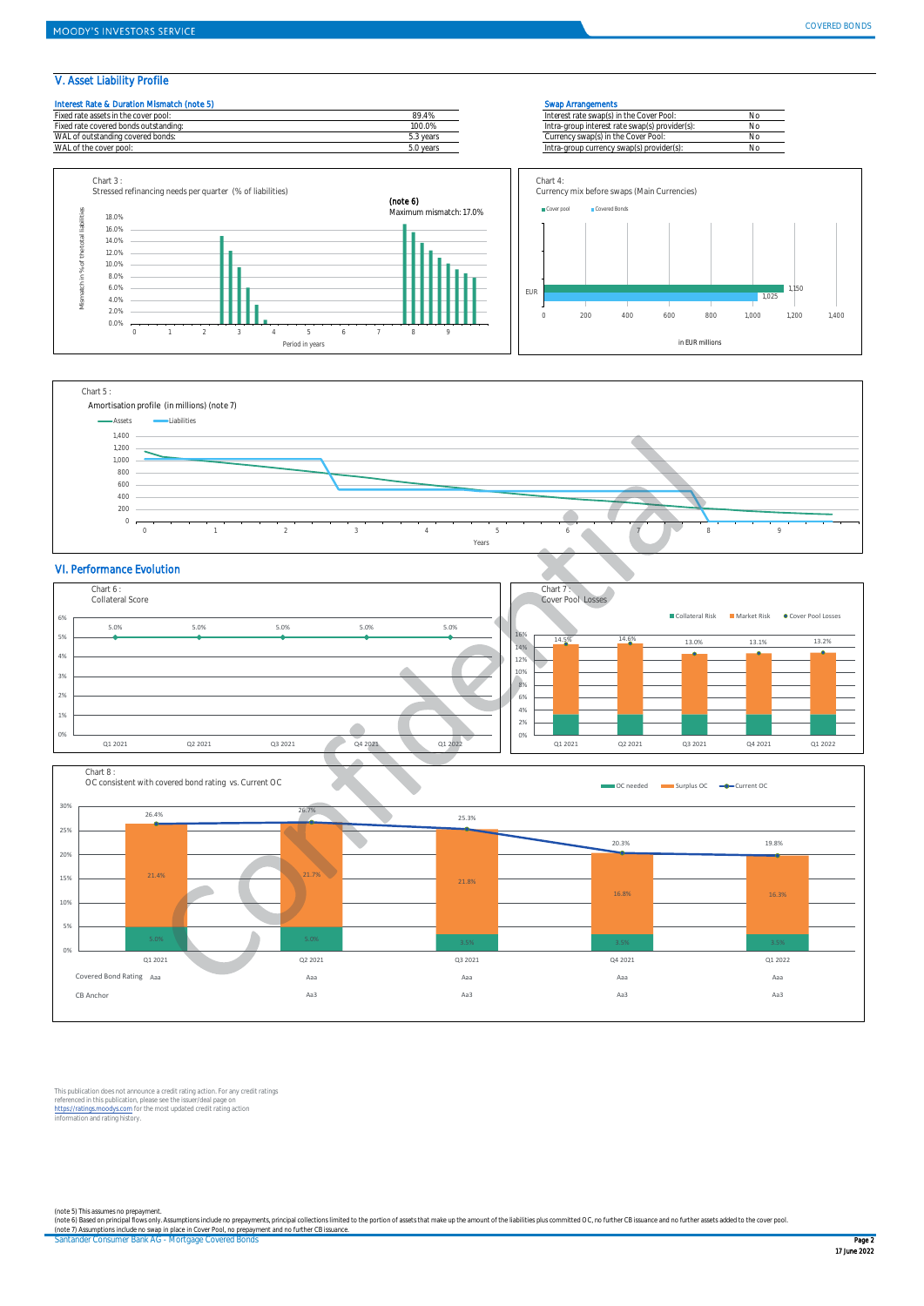## V. Asset Liability Profile







### VI. Performance Evolution





This publication does not announce a credit rating action. For any credit ratings<br>referenced in this publication, please see the issuer/deal page on<br>https://ratings.moodys.com for the most updated credit rating action<br>info

Santander Consumer Bank AG - Mortgage Covered Bonds Page 2 and Santanger Page 2 and Santanger Consumer Bank AG - Mortgage Covered Bonds Page 2 (note 5) This assumes no prepayment.<br>(note 6) Based on principal flows only. Assumptions include no prepayments, principal collections limited to the portion of assets that make up the amount of the liabilities plus commit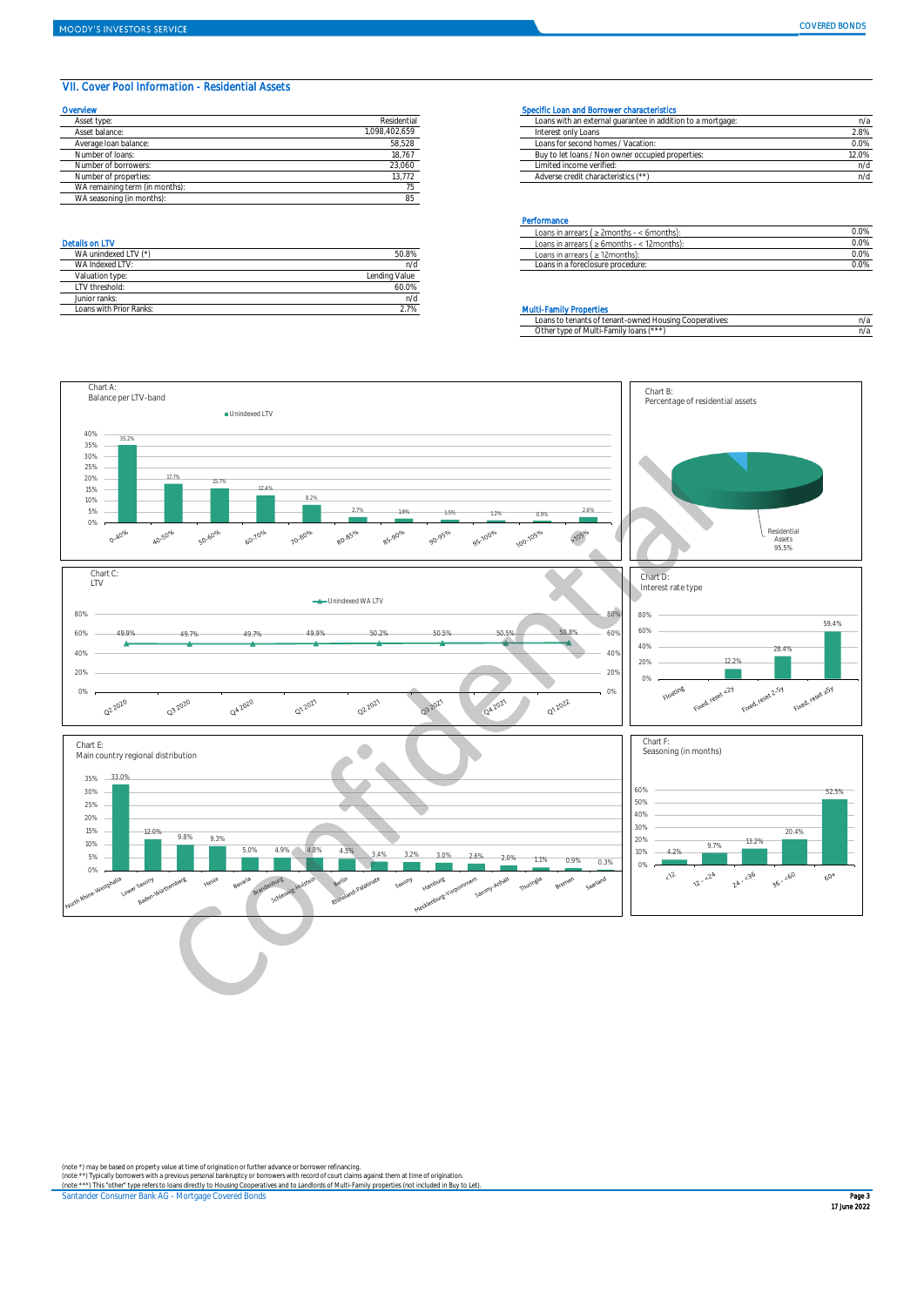### VII. Cover Pool Information - Residential Assets

| Overvlew                       |               | Specific Loan and Borrower characteristics                  |       |
|--------------------------------|---------------|-------------------------------------------------------------|-------|
| Asset type:                    | Residential   | Loans with an external quarantee in addition to a mortgage: | n/i   |
| Asset balance:                 | 1.098.402.659 | Interest only Loans                                         | 2.8%  |
| Average Ioan balance:          | 58,528        | Loans for second homes / Vacation:                          | 0.0%  |
| Number of Joans:               | 18,767        | Buy to let loans / Non owner occupied properties:           | 12.0% |
| Number of borrowers:           | 23,060        | Limited income verified:                                    | n/c   |
| Number of properties:          | 13.772        | Adverse credit characteristics (**)                         | n/c   |
| WA remaining term (in months): |               |                                                             |       |
| WA seasoning (in months):      |               |                                                             |       |

| WA unindexed LTV (*)    | 50.8%         |
|-------------------------|---------------|
| WA Indexed I TV:        | n/d           |
| Valuation type:         | Lending Value |
| LTV threshold:          | 60.0%         |
| Junior ranks:           | n/d           |
| Loans with Prior Ranks: | 2.7%          |

| Asset type            | Residential | Loans with an external quarantee in addition to a mortgage: | n/a   |
|-----------------------|-------------|-------------------------------------------------------------|-------|
| Asset balance:        | 098.402.659 | Interest only Loans                                         | 2.8%  |
| Average Ioan balance: | 58,528      | Loans for second homes / Vacation:                          | 0.0%  |
| Number of loans:      | 18.767      | Buy to let loans / Non owner occupied properties:           | 12.0% |
| Number of borrowers:  | 23,060      | Limited income verified:                                    | n/d   |
| Number of properties: | 13,772      | Adverse credit characteristics (**)                         | n/d   |

#### **Performance**

|                                                   |       | Loans in arrears (<br>$\geq$ 2 months<br>< 6months). | 0.09 |
|---------------------------------------------------|-------|------------------------------------------------------|------|
| <b>Details on LTV</b>                             |       | 12months)<br>Loans in arrears (<br>$\geq 6$ months   | 0.0% |
| $-1$ 1 TV $1.14$<br><b>WA</b><br>11^ unindexed ∟. | 50.8% | Loans in arrears /<br>≥ 12months)                    | 0.09 |
| AIA<br>Indovod I                                  | n/a   | s in a foreclosure procedure:<br>.oans ir            | 0.09 |
|                                                   | .     |                                                      |      |

### **Multi-Family Properties**

|  | nans<br>tenants<br>cooperatives:<br>tenant-owned Housing<br>.nt<br>$\mathsf{t}$ | n/a |
|--|---------------------------------------------------------------------------------|-----|
|  | $f \times \times \times 1$<br>Other<br>' Multi-Family<br>loans<br>tyne.<br>nt   | n/a |



(note \*) may be based on property value at time of origination or further advance or borrower refinancing.<br>(note \*\*) Typically borrowers with a previous personal bankruptcy or borrowers with record of court claims against

Santander Consumer Bank AG - Mortgage Covered Bonds **Page 3 Access Page 3 Access Page 3 Access Page 3 Access Page 3**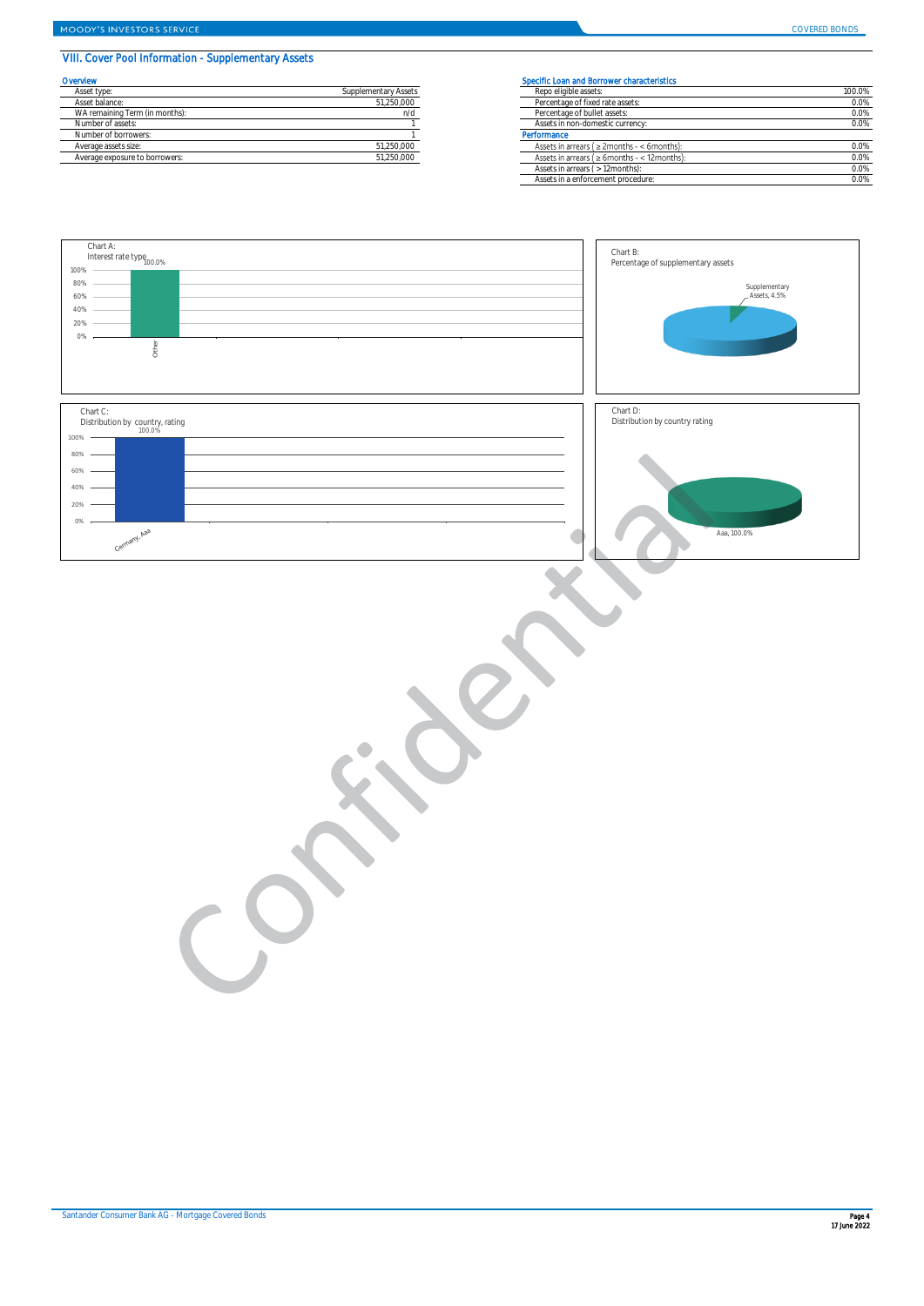# VIII. Cover Pool Information - Supplementary Assets

| Overvlew                       |                      | Specific Loan and Borrower characteristics      |
|--------------------------------|----------------------|-------------------------------------------------|
| Asset type:                    | Supplementary Assets | Repo eligible assets:                           |
| Asset balance:                 | 51.250.000           | Percentage of fixed rate assets:                |
| WA remaining Term (in months): | n/d                  | Percentage of bullet assets:                    |
| Number of assets:              |                      | Assets in non-domestic currency:                |
| Number of borrowers:           |                      | Performance                                     |
| Average assets size:           | 51.250.000           | Assets in arrears ( $\geq$ 2months - < 6month   |
| Average exposure to borrowers: | 51.250.000           | Assets in arrears ( $\geq 6$ months - < 12 mont |
|                                |                      |                                                 |

| ervlew                         |                      | Specific Loan and Borrower characteristics          |         |  |  |
|--------------------------------|----------------------|-----------------------------------------------------|---------|--|--|
| Asset type:                    | Supplementary Assets | Repo eligible assets:                               | 100.0%  |  |  |
| Asset balance:                 | 51,250,000           | Percentage of fixed rate assets:                    | 0.0%    |  |  |
| WA remaining Term (in months): | ח/ר                  | Percentage of bullet assets:                        | $0.0\%$ |  |  |
| Number of assets:              |                      | Assets in non-domestic currency:                    | 0.0%    |  |  |
| Number of borrowers:           |                      | Performance                                         |         |  |  |
| Average assets size:           | 51,250,000           | Assets in arrears ( $\geq$ 2months - < 6months):    | 0.0%    |  |  |
| Average exposure to borrowers: | 51,250,000           | Assets in arrears ( $\geq 6$ months - < 12 months): | 0.0%    |  |  |
|                                |                      | Assets in arrears ( > 12months):                    | 0.0%    |  |  |
|                                |                      | Assets in a enforcement procedure:                  | 0.0%    |  |  |
|                                |                      |                                                     |         |  |  |

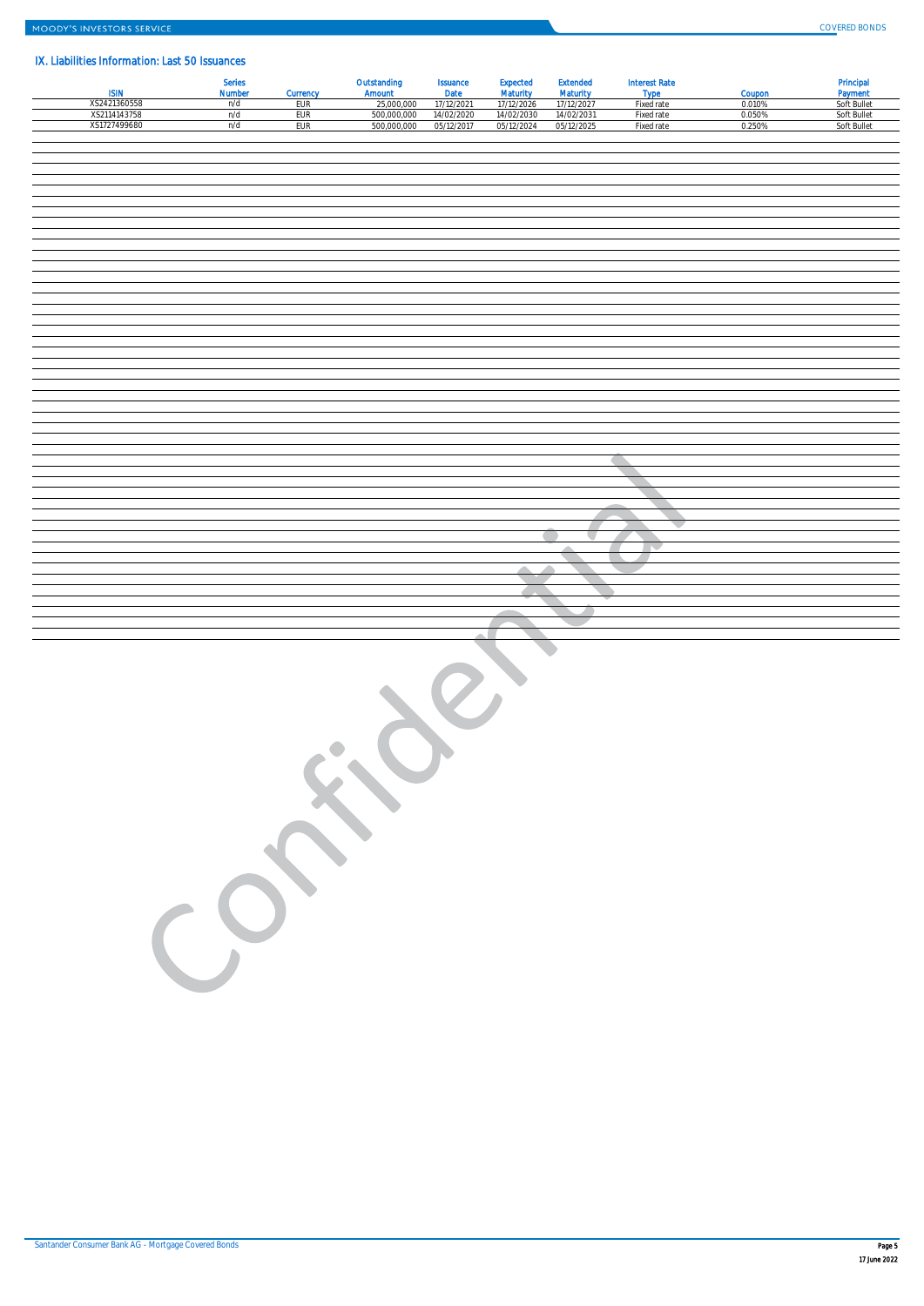# IX. Liabilities Information: Last 50 Issuances

|                              | Series<br>Number | Currency   | Outstanding<br>Amount     | Issuance<br>Date         | Expected<br>Maturity     | <b>Extended</b><br>Maturity | <b>Interest Rate</b><br>Type | Coupon           | Principal<br>Payment       |
|------------------------------|------------------|------------|---------------------------|--------------------------|--------------------------|-----------------------------|------------------------------|------------------|----------------------------|
| XS2421360558<br>XS2114143758 | n/d<br>n/d       | EUR<br>EUR | 25,000,000<br>500,000,000 | 17/12/2021<br>14/02/2020 | 17/12/2026<br>14/02/2030 | 17/12/2027<br>14/02/2031    | Fixed rate<br>Fixed rate     | 0.010%<br>0.050% | Soft Bullet<br>Soft Bullet |
| XS1727499680                 | n/d              | EUR        | 500,000,000               | 05/12/2017               | 05/12/2024               | 05/12/2025                  | Fixed rate                   | 0.250%           | Soft Bullet                |
|                              |                  |            |                           |                          |                          |                             |                              |                  |                            |
|                              |                  |            |                           |                          |                          |                             |                              |                  |                            |
|                              |                  |            |                           |                          |                          |                             |                              |                  |                            |
|                              |                  |            |                           |                          |                          |                             |                              |                  |                            |
|                              |                  |            |                           |                          |                          |                             |                              |                  |                            |
|                              |                  |            |                           |                          |                          |                             |                              |                  |                            |
|                              |                  |            |                           |                          |                          |                             |                              |                  |                            |
|                              |                  |            |                           |                          |                          |                             |                              |                  |                            |
|                              |                  |            |                           |                          |                          |                             |                              |                  |                            |
|                              |                  |            |                           |                          |                          |                             |                              |                  |                            |
|                              |                  |            |                           |                          |                          |                             |                              |                  |                            |
|                              |                  |            |                           |                          |                          |                             |                              |                  |                            |
|                              |                  |            |                           |                          |                          |                             |                              |                  |                            |
|                              |                  |            |                           |                          |                          |                             |                              |                  |                            |
|                              |                  |            |                           |                          |                          |                             |                              |                  |                            |
|                              |                  |            |                           |                          |                          |                             |                              |                  |                            |
|                              |                  |            |                           |                          |                          |                             |                              |                  |                            |
|                              |                  |            |                           |                          |                          |                             |                              |                  |                            |
|                              |                  |            |                           |                          |                          |                             |                              |                  |                            |
|                              |                  |            |                           |                          |                          |                             |                              |                  |                            |
|                              |                  |            |                           |                          |                          |                             |                              |                  |                            |
|                              |                  |            |                           |                          |                          |                             |                              |                  |                            |
|                              |                  |            |                           |                          |                          |                             |                              |                  |                            |
|                              |                  |            |                           |                          |                          |                             |                              |                  |                            |
|                              |                  |            |                           |                          |                          |                             |                              |                  |                            |
|                              |                  |            |                           |                          |                          |                             |                              |                  |                            |
|                              |                  |            |                           |                          |                          |                             |                              |                  |                            |
|                              |                  |            |                           |                          |                          |                             |                              |                  |                            |
|                              |                  |            |                           |                          |                          |                             |                              |                  |                            |
|                              |                  |            |                           |                          |                          |                             |                              |                  |                            |
|                              |                  |            |                           |                          |                          |                             |                              |                  |                            |
|                              |                  |            |                           |                          |                          |                             |                              |                  |                            |
|                              |                  |            |                           |                          |                          |                             |                              |                  |                            |
|                              |                  |            |                           |                          |                          |                             |                              |                  |                            |
|                              |                  |            |                           |                          |                          |                             |                              |                  |                            |
|                              |                  |            |                           |                          |                          |                             |                              |                  |                            |
|                              |                  |            |                           |                          |                          |                             |                              |                  |                            |
|                              |                  |            |                           |                          |                          |                             |                              |                  |                            |
|                              |                  |            |                           |                          |                          |                             |                              |                  |                            |
|                              |                  |            |                           |                          |                          |                             |                              |                  |                            |
|                              |                  |            |                           |                          |                          |                             |                              |                  |                            |
|                              |                  |            |                           |                          |                          |                             |                              |                  |                            |
|                              |                  |            |                           |                          |                          |                             |                              |                  |                            |
|                              |                  |            |                           |                          |                          |                             |                              |                  |                            |
|                              |                  |            |                           |                          |                          |                             |                              |                  |                            |
|                              |                  |            |                           |                          |                          |                             |                              |                  |                            |
|                              |                  |            |                           |                          |                          |                             |                              |                  |                            |
|                              |                  |            |                           |                          |                          |                             |                              |                  |                            |
|                              |                  |            |                           |                          |                          |                             |                              |                  |                            |
|                              |                  |            |                           |                          |                          |                             |                              |                  |                            |
|                              |                  |            |                           |                          |                          |                             |                              |                  |                            |
|                              |                  |            |                           |                          |                          |                             |                              |                  |                            |
|                              |                  |            |                           |                          |                          |                             |                              |                  |                            |
|                              |                  |            |                           |                          |                          |                             |                              |                  |                            |
|                              | CO.              |            |                           |                          |                          |                             |                              |                  |                            |